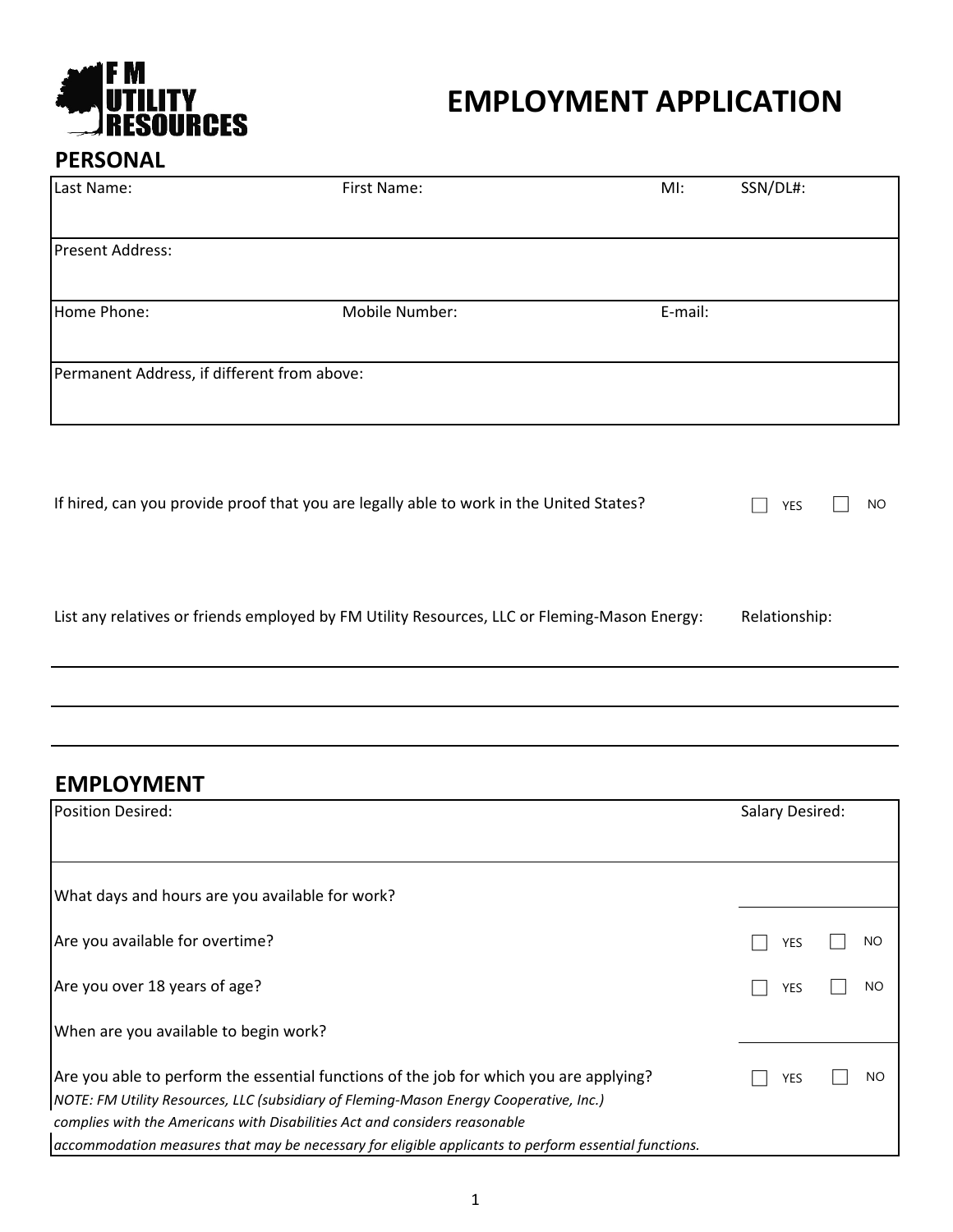

#### **PERSONAL**

| Last Name:                                  | First Name:                                                                             | MI:     | SSN/DL#: |           |
|---------------------------------------------|-----------------------------------------------------------------------------------------|---------|----------|-----------|
| <b>Present Address:</b>                     |                                                                                         |         |          |           |
| Home Phone:                                 | Mobile Number:                                                                          | E-mail: |          |           |
| Permanent Address, if different from above: |                                                                                         |         |          |           |
|                                             | If hired, can you provide proof that you are legally able to work in the United States? |         | YES      | <b>NO</b> |

List any relatives or friends employed by FM Utility Resources, LLC or Fleming-Mason Energy: Relationship:

#### **EMPLOYMENT**

| Position Desired:                                                                                                                                                                  |     | Salary Desired: |  |  |
|------------------------------------------------------------------------------------------------------------------------------------------------------------------------------------|-----|-----------------|--|--|
|                                                                                                                                                                                    |     |                 |  |  |
| What days and hours are you available for work?                                                                                                                                    |     |                 |  |  |
| Are you available for overtime?                                                                                                                                                    | YES | NO              |  |  |
| Are you over 18 years of age?                                                                                                                                                      | YES | <b>NO</b>       |  |  |
| When are you available to begin work?                                                                                                                                              |     |                 |  |  |
| Are you able to perform the essential functions of the job for which you are applying?<br>NOTE: FM Utility Resources, LLC (subsidiary of Fleming-Mason Energy Cooperative, Inc.)   | YES | NO              |  |  |
| complies with the Americans with Disabilities Act and considers reasonable<br>accommodation measures that may be necessary for eligible applicants to perform essential functions. |     |                 |  |  |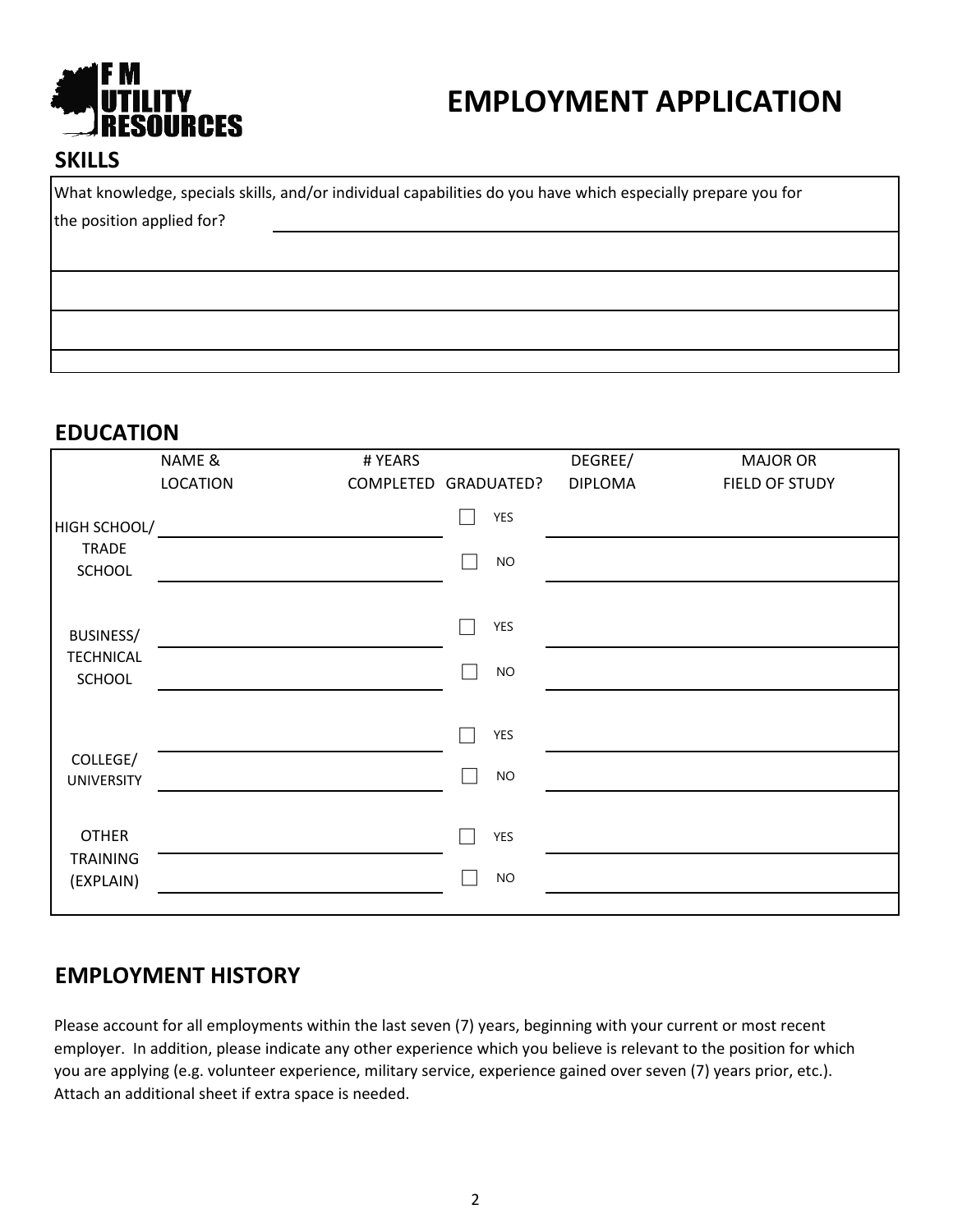

#### **SKILLS**

What knowledge, specials skills, and/or individual capabilities do you have which especially prepare you for the position applied for?

**EDUCATION**

|                                              | NAME &<br><b>LOCATION</b> | # YEARS<br>COMPLETED GRADUATED? |             | DEGREE/<br><b>DIPLOMA</b> | <b>MAJOR OR</b><br>FIELD OF STUDY |
|----------------------------------------------|---------------------------|---------------------------------|-------------|---------------------------|-----------------------------------|
| HIGH SCHOOL/<br><b>TRADE</b><br>SCHOOL       |                           |                                 | YES<br>$NO$ |                           |                                   |
| <b>BUSINESS/</b><br><b>TECHNICAL</b>         |                           |                                 | YES         |                           |                                   |
| SCHOOL                                       |                           |                                 | NO<br>YES   |                           |                                   |
| COLLEGE/<br><b>UNIVERSITY</b>                |                           |                                 | NO          |                           |                                   |
| <b>OTHER</b><br><b>TRAINING</b><br>(EXPLAIN) |                           |                                 | YES<br>$NO$ |                           |                                   |

#### **EMPLOYMENT HISTORY**

Please account for all employments within the last seven (7) years, beginning with your current or most recent employer. In addition, please indicate any other experience which you believe is relevant to the position for which you are applying (e.g. volunteer experience, military service, experience gained over seven (7) years prior, etc.). Attach an additional sheet if extra space is needed.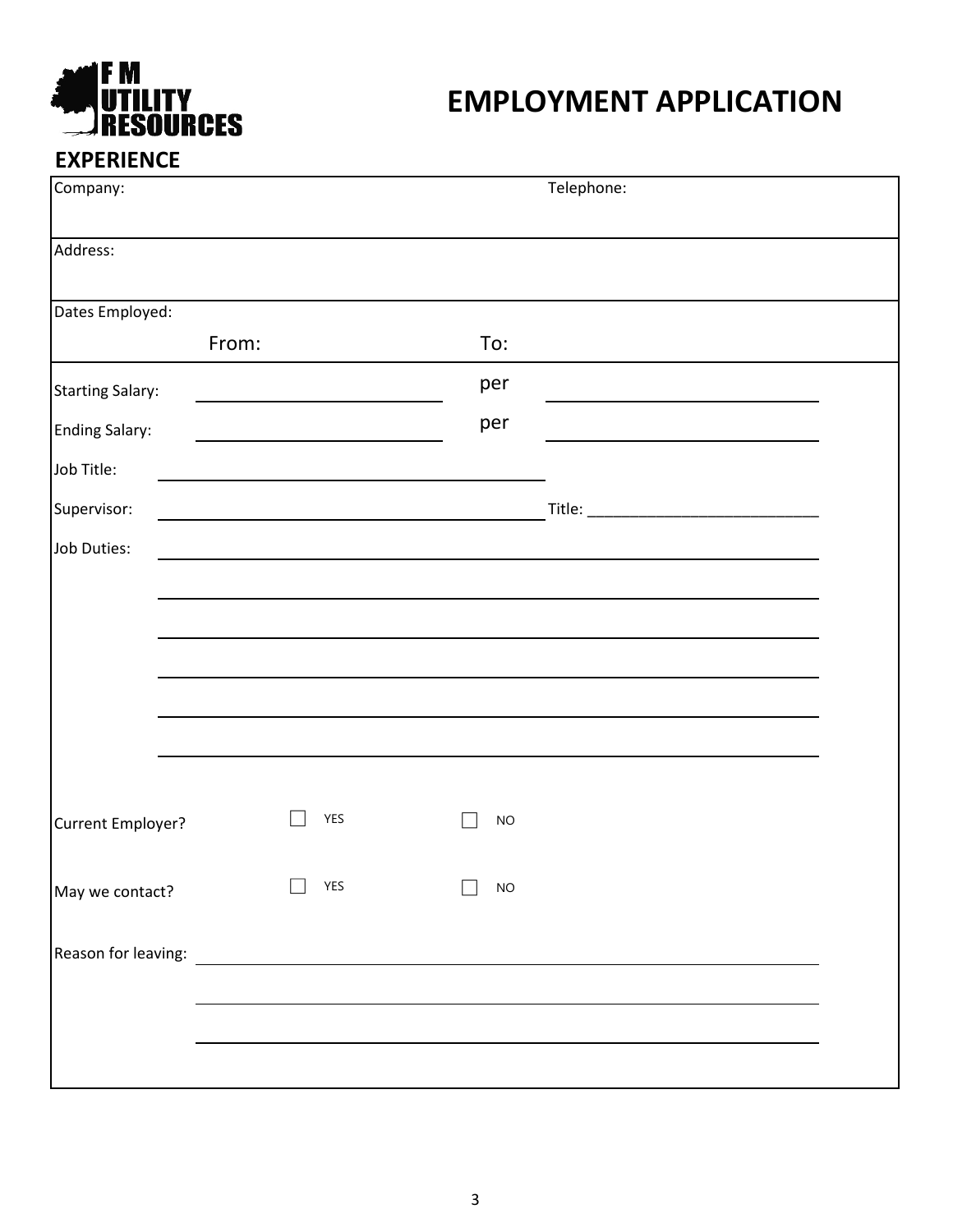

| Company:                |                                                                                                                                                                                                                                      | Telephone: |  |
|-------------------------|--------------------------------------------------------------------------------------------------------------------------------------------------------------------------------------------------------------------------------------|------------|--|
| Address:                |                                                                                                                                                                                                                                      |            |  |
| Dates Employed:         |                                                                                                                                                                                                                                      |            |  |
| From:                   |                                                                                                                                                                                                                                      | To:        |  |
| <b>Starting Salary:</b> |                                                                                                                                                                                                                                      | per        |  |
| <b>Ending Salary:</b>   |                                                                                                                                                                                                                                      | per        |  |
| Job Title:              |                                                                                                                                                                                                                                      |            |  |
| Supervisor:             |                                                                                                                                                                                                                                      |            |  |
| Job Duties:             |                                                                                                                                                                                                                                      |            |  |
|                         |                                                                                                                                                                                                                                      |            |  |
|                         |                                                                                                                                                                                                                                      |            |  |
|                         |                                                                                                                                                                                                                                      |            |  |
|                         |                                                                                                                                                                                                                                      |            |  |
|                         |                                                                                                                                                                                                                                      |            |  |
|                         |                                                                                                                                                                                                                                      |            |  |
| Current Employer?       | <b>YES</b>                                                                                                                                                                                                                           | <b>NO</b>  |  |
|                         |                                                                                                                                                                                                                                      |            |  |
| May we contact?         | <b>YES</b>                                                                                                                                                                                                                           | <b>NO</b>  |  |
| Reason for leaving:     | <u>and the state of the state of the state of the state of the state of the state of the state of the state of the state of the state of the state of the state of the state of the state of the state of the state of the state</u> |            |  |
|                         |                                                                                                                                                                                                                                      |            |  |
|                         |                                                                                                                                                                                                                                      |            |  |
|                         |                                                                                                                                                                                                                                      |            |  |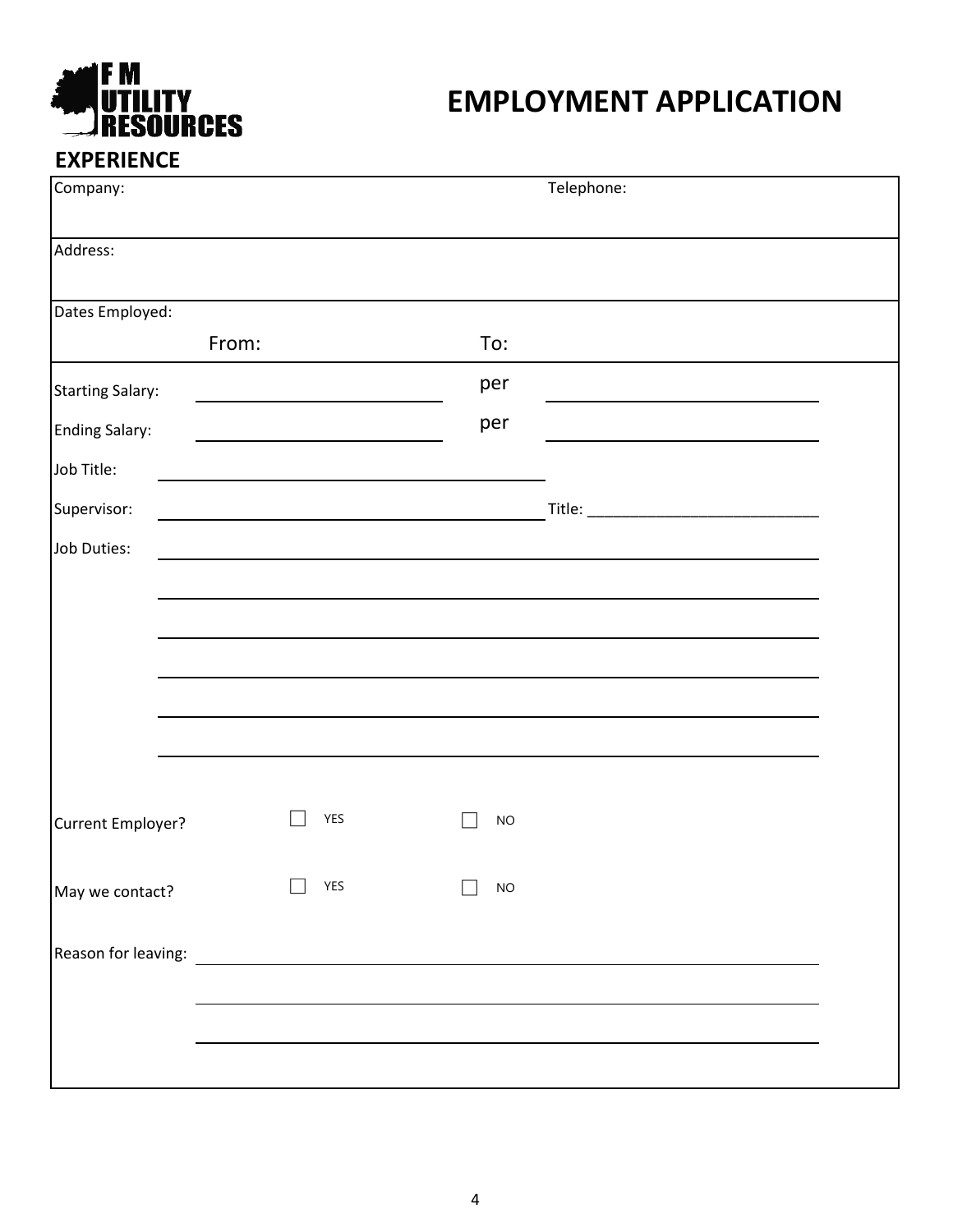

| Company:                                                                                                                                                                                                                       |            |           | Telephone: |
|--------------------------------------------------------------------------------------------------------------------------------------------------------------------------------------------------------------------------------|------------|-----------|------------|
| Address:                                                                                                                                                                                                                       |            |           |            |
| Dates Employed:                                                                                                                                                                                                                |            |           |            |
| From:                                                                                                                                                                                                                          |            | To:       |            |
| <b>Starting Salary:</b>                                                                                                                                                                                                        |            | per       |            |
| <b>Ending Salary:</b>                                                                                                                                                                                                          |            | per       |            |
| Job Title:                                                                                                                                                                                                                     |            |           |            |
| Supervisor:                                                                                                                                                                                                                    |            |           |            |
| Job Duties:                                                                                                                                                                                                                    |            |           |            |
|                                                                                                                                                                                                                                |            |           |            |
|                                                                                                                                                                                                                                |            |           |            |
|                                                                                                                                                                                                                                |            |           |            |
|                                                                                                                                                                                                                                |            |           |            |
|                                                                                                                                                                                                                                |            |           |            |
|                                                                                                                                                                                                                                |            |           |            |
| Current Employer?                                                                                                                                                                                                              | <b>YES</b> | <b>NO</b> |            |
|                                                                                                                                                                                                                                |            |           |            |
| May we contact?                                                                                                                                                                                                                | <b>YES</b> | <b>NO</b> |            |
| Reason for leaving: Network and the set of the set of the set of the set of the set of the set of the set of the set of the set of the set of the set of the set of the set of the set of the set of the set of the set of the |            |           |            |
|                                                                                                                                                                                                                                |            |           |            |
|                                                                                                                                                                                                                                |            |           |            |
|                                                                                                                                                                                                                                |            |           |            |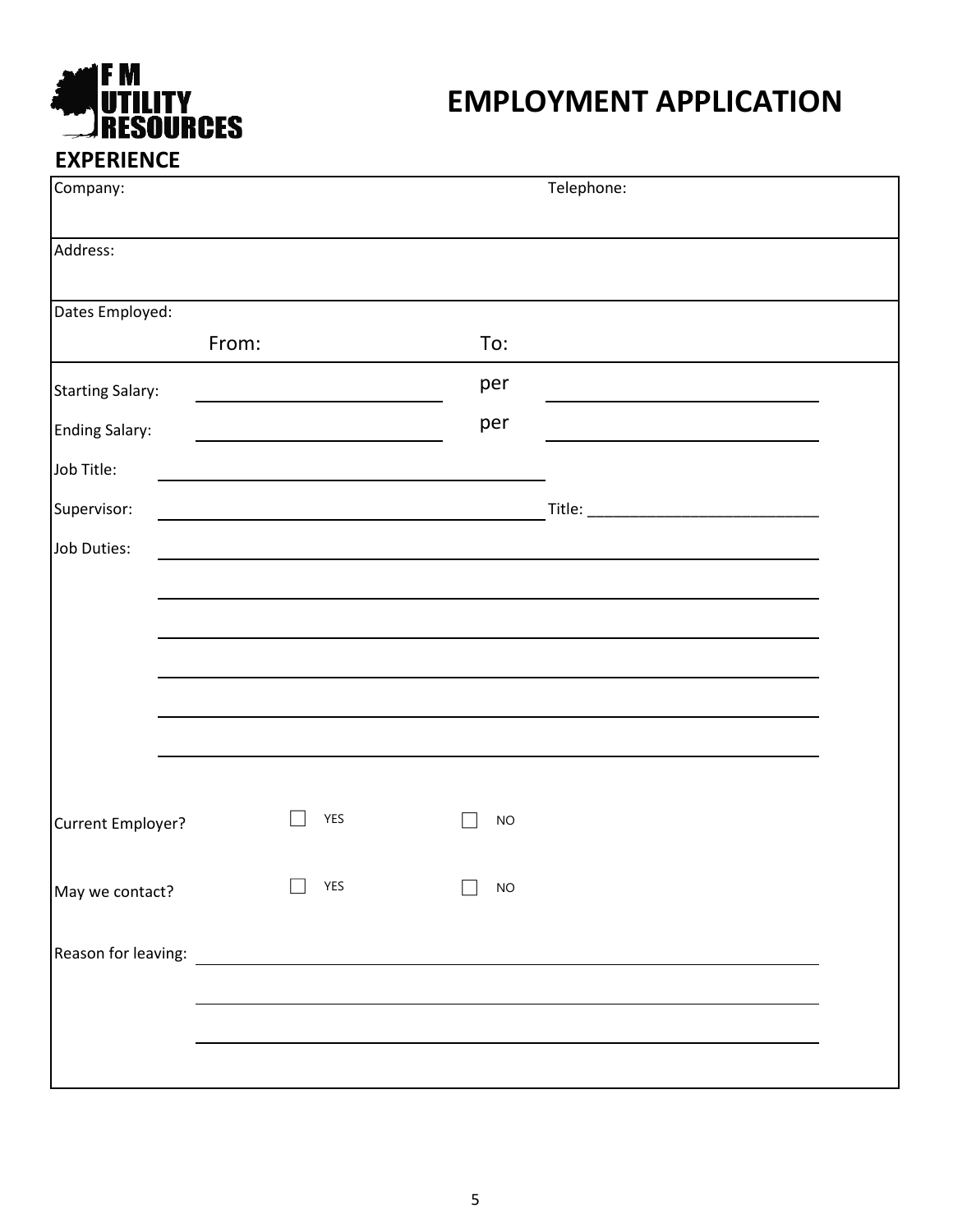

| Company:                |            | Telephone: |  |
|-------------------------|------------|------------|--|
| Address:                |            |            |  |
| Dates Employed:         |            |            |  |
| From:                   |            | To:        |  |
| <b>Starting Salary:</b> |            | per        |  |
| <b>Ending Salary:</b>   |            | per        |  |
| Job Title:              |            |            |  |
| Supervisor:             |            |            |  |
| Job Duties:             |            |            |  |
|                         |            |            |  |
|                         |            |            |  |
|                         |            |            |  |
|                         |            |            |  |
|                         |            |            |  |
|                         |            |            |  |
| Current Employer?       | <b>YES</b> | <b>NO</b>  |  |
|                         |            |            |  |
| May we contact?         | <b>YES</b> | <b>NO</b>  |  |
|                         |            |            |  |
|                         |            |            |  |
|                         |            |            |  |
|                         |            |            |  |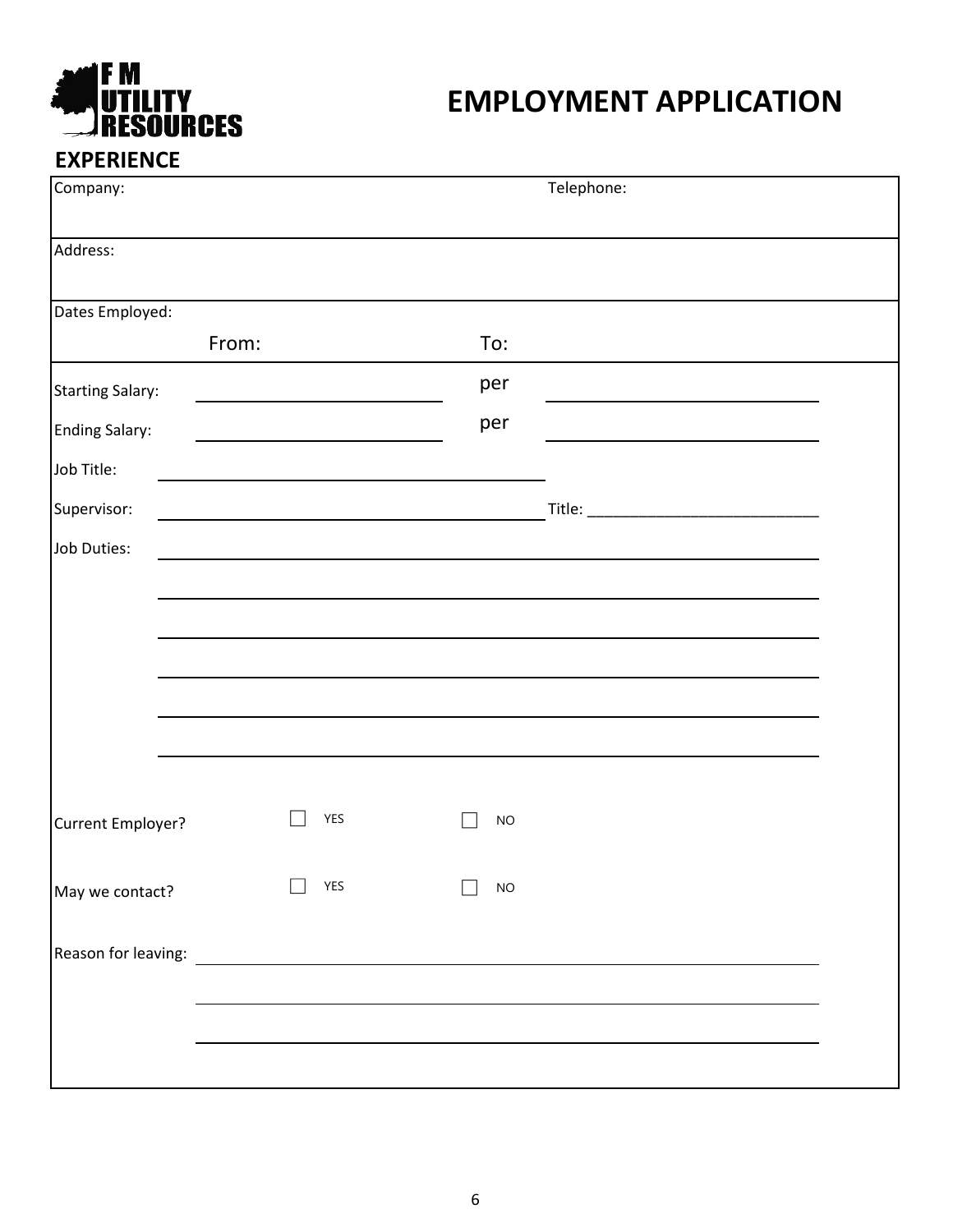

| Company:                                                                                                                                                                                                                       |            | Telephone: |  |
|--------------------------------------------------------------------------------------------------------------------------------------------------------------------------------------------------------------------------------|------------|------------|--|
| Address:                                                                                                                                                                                                                       |            |            |  |
| Dates Employed:                                                                                                                                                                                                                |            |            |  |
| From:                                                                                                                                                                                                                          |            | To:        |  |
| <b>Starting Salary:</b>                                                                                                                                                                                                        |            | per        |  |
| <b>Ending Salary:</b>                                                                                                                                                                                                          |            | per        |  |
| Job Title:                                                                                                                                                                                                                     |            |            |  |
| Supervisor:                                                                                                                                                                                                                    |            |            |  |
| Job Duties:                                                                                                                                                                                                                    |            |            |  |
|                                                                                                                                                                                                                                |            |            |  |
|                                                                                                                                                                                                                                |            |            |  |
|                                                                                                                                                                                                                                |            |            |  |
|                                                                                                                                                                                                                                |            |            |  |
|                                                                                                                                                                                                                                |            |            |  |
|                                                                                                                                                                                                                                |            |            |  |
| Current Employer?                                                                                                                                                                                                              | YES        | <b>NO</b>  |  |
|                                                                                                                                                                                                                                |            |            |  |
| May we contact?                                                                                                                                                                                                                | <b>YES</b> | <b>NO</b>  |  |
| Reason for leaving: Network and the set of the set of the set of the set of the set of the set of the set of the set of the set of the set of the set of the set of the set of the set of the set of the set of the set of the |            |            |  |
|                                                                                                                                                                                                                                |            |            |  |
|                                                                                                                                                                                                                                |            |            |  |
|                                                                                                                                                                                                                                |            |            |  |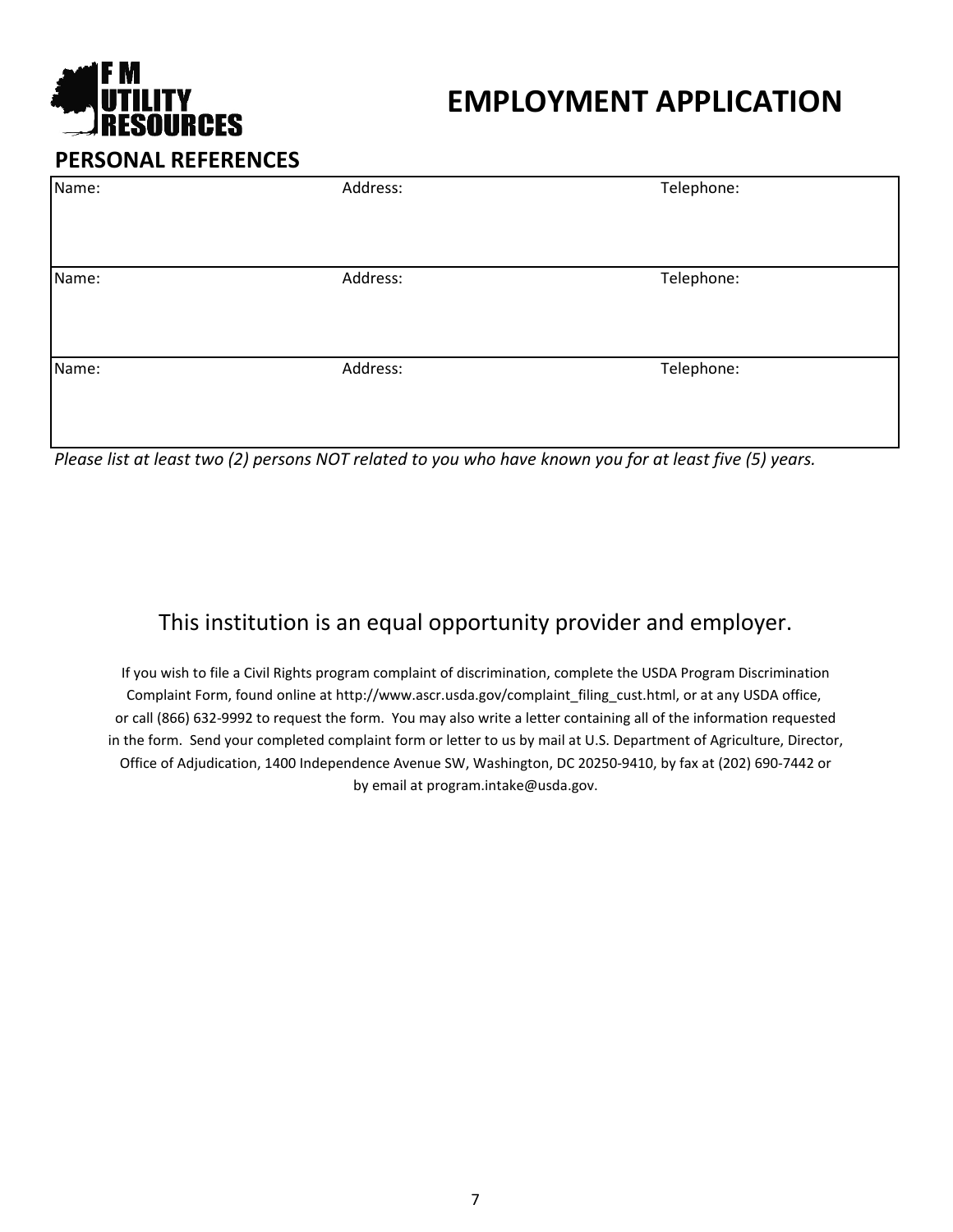

|  | <b>PERSONAL REFERENCES</b> |
|--|----------------------------|
|--|----------------------------|

| Name: | Address: | Telephone: |  |
|-------|----------|------------|--|
|       |          |            |  |
| Name: | Address: | Telephone: |  |
|       |          |            |  |
| Name: | Address: | Telephone: |  |
|       |          |            |  |

*Please list at least two (2) persons NOT related to you who have known you for at least five (5) years.*

#### This institution is an equal opportunity provider and employer.

Office of Adjudication, 1400 Independence Avenue SW, Washington, DC 20250-9410, by fax at (202) 690-7442 or by email at program.intake@usda.gov. If you wish to file a Civil Rights program complaint of discrimination, complete the USDA Program Discrimination Complaint Form, found online at http://www.ascr.usda.gov/complaint filing cust.html, or at any USDA office, or call (866) 632-9992 to request the form. You may also write a letter containing all of the information requested in the form. Send your completed complaint form or letter to us by mail at U.S. Department of Agriculture, Director,